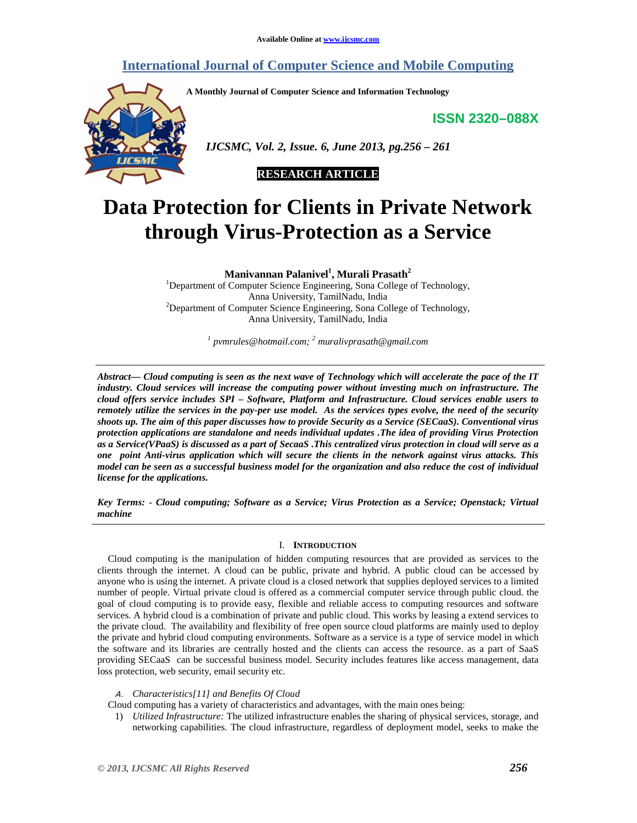# **International Journal of Computer Science and Mobile Computing**

**A Monthly Journal of Computer Science and Information Technology** 

**ISSN 2320–088X**



 *IJCSMC, Vol. 2, Issue. 6, June 2013, pg.256 – 261* 



# **Data Protection for Clients in Private Network through Virus-Protection as a Service**

**Manivannan Palanivel<sup>1</sup> , Murali Prasath<sup>2</sup>**

<sup>1</sup>Department of Computer Science Engineering, Sona College of Technology, Anna University, TamilNadu, India <sup>2</sup>Department of Computer Science Engineering, Sona College of Technology, Anna University, TamilNadu, India

*1 pvmrules@hotmail.com; <sup>2</sup> muralivprasath@gmail.com* 

*Abstract— Cloud computing is seen as the next wave of Technology which will accelerate the pace of the IT industry. Cloud services will increase the computing power without investing much on infrastructure. The cloud offers service includes SPI – Software, Platform and Infrastructure. Cloud services enable users to remotely utilize the services in the pay-per use model. As the services types evolve, the need of the security shoots up. The aim of this paper discusses how to provide Security as a Service (SECaaS). Conventional virus protection applications are standalone and needs individual updates .The idea of providing Virus Protection as a Service(VPaaS) is discussed as a part of SecaaS .This centralized virus protection in cloud will serve as a one point Anti-virus application which will secure the clients in the network against virus attacks. This model can be seen as a successful business model for the organization and also reduce the cost of individual license for the applications.* 

*Key Terms: - Cloud computing; Software as a Service; Virus Protection as a Service; Openstack; Virtual machine* 

# I. **INTRODUCTION**

Cloud computing is the manipulation of hidden computing resources that are provided as services to the clients through the internet. A cloud can be public, private and hybrid. A public cloud can be accessed by anyone who is using the internet. A private cloud is a closed network that supplies deployed services to a limited number of people. Virtual private cloud is offered as a commercial computer service through public cloud. the goal of cloud computing is to provide easy, flexible and reliable access to computing resources and software services. A hybrid cloud is a combination of private and public cloud. This works by leasing a extend services to the private cloud. The availability and flexibility of free open source cloud platforms are mainly used to deploy the private and hybrid cloud computing environments. Software as a service is a type of service model in which the software and its libraries are centrally hosted and the clients can access the resource. as a part of SaaS providing SECaaS can be successful business model. Security includes features like access management, data loss protection, web security, email security etc.

Α. *Characteristics[11] and Benefits Of Cloud* 

Cloud computing has a variety of characteristics and advantages, with the main ones being:

1) *Utilized Infrastructure:* The utilized infrastructure enables the sharing of physical services, storage, and networking capabilities. The cloud infrastructure, regardless of deployment model, seeks to make the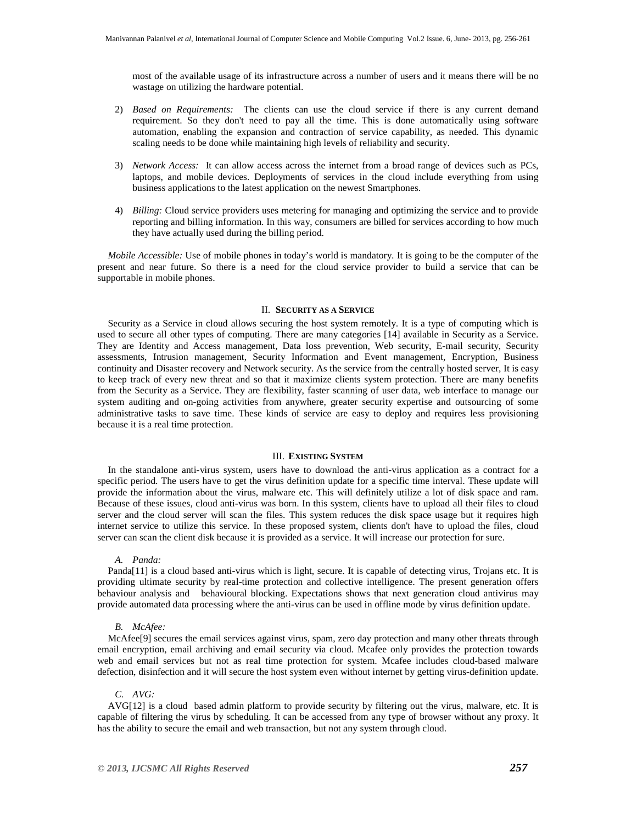most of the available usage of its infrastructure across a number of users and it means there will be no wastage on utilizing the hardware potential.

- 2) *Based on Requirements:* The clients can use the cloud service if there is any current demand requirement. So they don't need to pay all the time. This is done automatically using software automation, enabling the expansion and contraction of service capability, as needed. This dynamic scaling needs to be done while maintaining high levels of reliability and security.
- 3) *Network Access:* It can allow access across the internet from a broad range of devices such as PCs, laptops, and mobile devices. Deployments of services in the cloud include everything from using business applications to the latest application on the newest Smartphones.
- 4) *Billing:* Cloud service providers uses metering for managing and optimizing the service and to provide reporting and billing information. In this way, consumers are billed for services according to how much they have actually used during the billing period.

*Mobile Accessible:* Use of mobile phones in today's world is mandatory. It is going to be the computer of the present and near future. So there is a need for the cloud service provider to build a service that can be supportable in mobile phones.

#### II. **SECURITY AS A SERVICE**

Security as a Service in cloud allows securing the host system remotely. It is a type of computing which is used to secure all other types of computing. There are many categories [14] available in Security as a Service. They are Identity and Access management, Data loss prevention, Web security, E-mail security, Security assessments, Intrusion management, Security Information and Event management, Encryption, Business continuity and Disaster recovery and Network security. As the service from the centrally hosted server, It is easy to keep track of every new threat and so that it maximize clients system protection. There are many benefits from the Security as a Service. They are flexibility, faster scanning of user data, web interface to manage our system auditing and on-going activities from anywhere, greater security expertise and outsourcing of some administrative tasks to save time. These kinds of service are easy to deploy and requires less provisioning because it is a real time protection.

# III. **EXISTING SYSTEM**

In the standalone anti-virus system, users have to download the anti-virus application as a contract for a specific period. The users have to get the virus definition update for a specific time interval. These update will provide the information about the virus, malware etc. This will definitely utilize a lot of disk space and ram. Because of these issues, cloud anti-virus was born. In this system, clients have to upload all their files to cloud server and the cloud server will scan the files. This system reduces the disk space usage but it requires high internet service to utilize this service. In these proposed system, clients don't have to upload the files, cloud server can scan the client disk because it is provided as a service. It will increase our protection for sure.

#### *A. Panda:*

Panda[11] is a cloud based anti-virus which is light, secure. It is capable of detecting virus, Trojans etc. It is providing ultimate security by real-time protection and collective intelligence. The present generation offers behaviour analysis and behavioural blocking. Expectations shows that next generation cloud antivirus may provide automated data processing where the anti-virus can be used in offline mode by virus definition update.

#### *B. McAfee:*

McAfee[9] secures the email services against virus, spam, zero day protection and many other threats through email encryption, email archiving and email security via cloud. Mcafee only provides the protection towards web and email services but not as real time protection for system. Mcafee includes cloud-based malware defection, disinfection and it will secure the host system even without internet by getting virus-definition update.

#### *C. AVG:*

AVG[12] is a cloud based admin platform to provide security by filtering out the virus, malware, etc. It is capable of filtering the virus by scheduling. It can be accessed from any type of browser without any proxy. It has the ability to secure the email and web transaction, but not any system through cloud.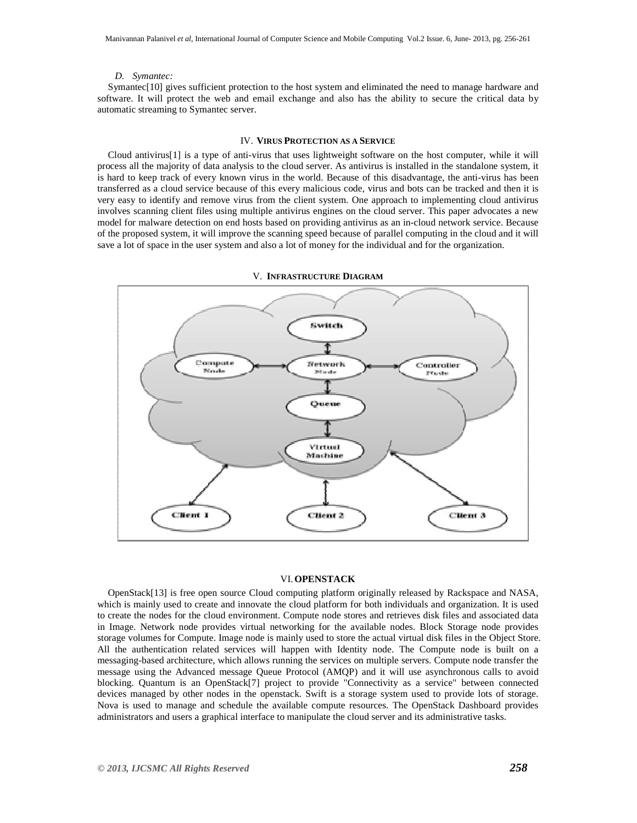#### *D. Symantec:*

Symantec[10] gives sufficient protection to the host system and eliminated the need to manage hardware and software. It will protect the web and email exchange and also has the ability to secure the critical data by automatic streaming to Symantec server.

# IV. **VIRUS PROTECTION AS A SERVICE**

Cloud antivirus[1] is a type of anti-virus that uses lightweight software on the host computer, while it will process all the majority of data analysis to the cloud server. As antivirus is installed in the standalone system, it is hard to keep track of every known virus in the world. Because of this disadvantage, the anti-virus has been transferred as a cloud service because of this every malicious code, virus and bots can be tracked and then it is very easy to identify and remove virus from the client system. One approach to implementing cloud antivirus involves scanning client files using multiple antivirus engines on the cloud server. This paper advocates a new model for malware detection on end hosts based on providing antivirus as an in-cloud network service. Because of the proposed system, it will improve the scanning speed because of parallel computing in the cloud and it will save a lot of space in the user system and also a lot of money for the individual and for the organization.



V. **INFRASTRUCTURE DIAGRAM**

#### VI.**OPENSTACK**

OpenStack[13] is free open source Cloud computing platform originally released by Rackspace and NASA, which is mainly used to create and innovate the cloud platform for both individuals and organization. It is used to create the nodes for the cloud environment. Compute node stores and retrieves disk files and associated data in Image. Network node provides virtual networking for the available nodes. Block Storage node provides storage volumes for Compute. Image node is mainly used to store the actual virtual disk files in the Object Store. All the authentication related services will happen with Identity node. The Compute node is built on a messaging-based architecture, which allows running the services on multiple servers. Compute node transfer the message using the Advanced message Queue Protocol (AMQP) and it will use asynchronous calls to avoid blocking. Quantum is an OpenStack[7] project to provide "Connectivity as a service" between connected devices managed by other nodes in the openstack. Swift is a storage system used to provide lots of storage. Nova is used to manage and schedule the available compute resources. The OpenStack Dashboard provides administrators and users a graphical interface to manipulate the cloud server and its administrative tasks.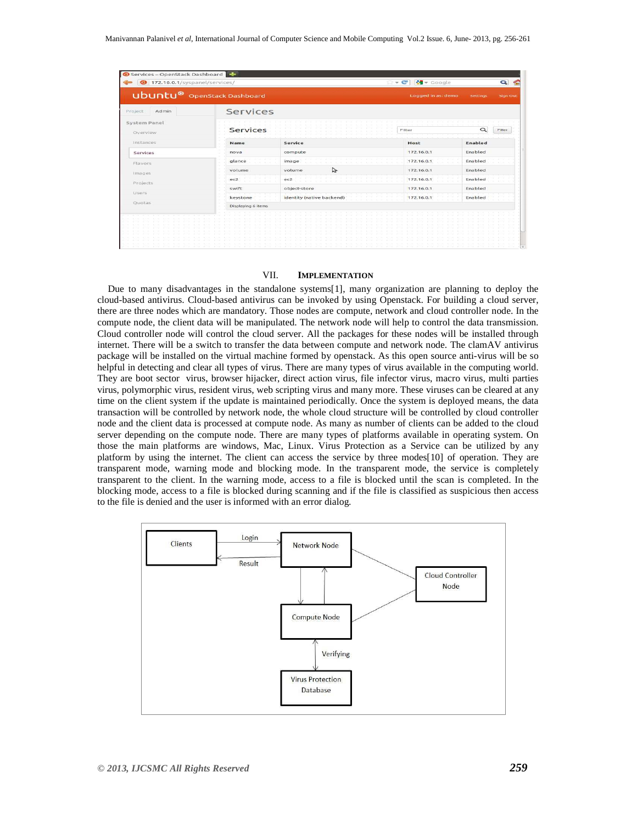| Services - OpenStack Dashboard             |                    |                            |                    |          |                 |
|--------------------------------------------|--------------------|----------------------------|--------------------|----------|-----------------|
| 172.16.0.1/syspanel/services/<br>$\bullet$ |                    |                            | $-c$<br>₹ Google   |          | $\bullet$       |
| <b>Ubuntu®</b> OpenStack Dashboard         |                    |                            | Logged in as: demo | Settings | <b>Sign Out</b> |
| Admin<br>Project                           | Services           |                            |                    |          |                 |
| System Panel<br>Overview                   | <b>Services</b>    |                            | Filter             | a        | Filter          |
| Instances                                  | Name               | Service                    | Host               | Enabled  |                 |
| Services                                   | nova               | compute                    | 172.16.0.1         | Enabled  |                 |
| Flavors                                    | glance             | image                      | 172, 16, 0, 1      | Enabled  |                 |
| <i>images</i>                              | volume             | $\triangleright$<br>volume | 172, 16, 0.1       | Enabled  |                 |
| Projects                                   | ec2                | ec2                        | 172, 16.0.1        | Enabled  |                 |
| Users                                      | swift              | object-store               | 172, 16, 0, 1      | Enabled  |                 |
|                                            | keystone           | identity (native backend)  | 172.16.0.1         | Enabled  |                 |
| Ouotas                                     | Displaying 6 items |                            |                    |          |                 |
|                                            |                    |                            |                    |          |                 |

# VII. **IMPLEMENTATION**

Due to many disadvantages in the standalone systems[1], many organization are planning to deploy the cloud-based antivirus. Cloud-based antivirus can be invoked by using Openstack. For building a cloud server, there are three nodes which are mandatory. Those nodes are compute, network and cloud controller node. In the compute node, the client data will be manipulated. The network node will help to control the data transmission. Cloud controller node will control the cloud server. All the packages for these nodes will be installed through internet. There will be a switch to transfer the data between compute and network node. The clamAV antivirus package will be installed on the virtual machine formed by openstack. As this open source anti-virus will be so helpful in detecting and clear all types of virus. There are many types of virus available in the computing world. They are boot sector virus, browser hijacker, direct action virus, file infector virus, macro virus, multi parties virus, polymorphic virus, resident virus, web scripting virus and many more. These viruses can be cleared at any time on the client system if the update is maintained periodically. Once the system is deployed means, the data transaction will be controlled by network node, the whole cloud structure will be controlled by cloud controller node and the client data is processed at compute node. As many as number of clients can be added to the cloud server depending on the compute node. There are many types of platforms available in operating system. On those the main platforms are windows, Mac, Linux. Virus Protection as a Service can be utilized by any platform by using the internet. The client can access the service by three modes[10] of operation. They are transparent mode, warning mode and blocking mode. In the transparent mode, the service is completely transparent to the client. In the warning mode, access to a file is blocked until the scan is completed. In the blocking mode, access to a file is blocked during scanning and if the file is classified as suspicious then access to the file is denied and the user is informed with an error dialog.

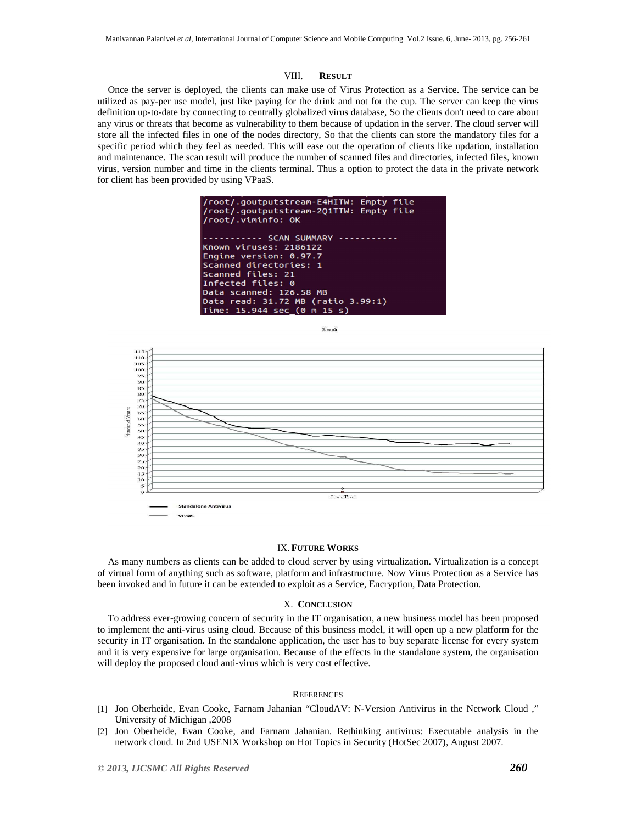# VIII. **RESULT**

Once the server is deployed, the clients can make use of Virus Protection as a Service. The service can be utilized as pay-per use model, just like paying for the drink and not for the cup. The server can keep the virus definition up-to-date by connecting to centrally globalized virus database, So the clients don't need to care about any virus or threats that become as vulnerability to them because of updation in the server. The cloud server will store all the infected files in one of the nodes directory, So that the clients can store the mandatory files for a specific period which they feel as needed. This will ease out the operation of clients like updation, installation and maintenance. The scan result will produce the number of scanned files and directories, infected files, known virus, version number and time in the clients terminal. Thus a option to protect the data in the private network for client has been provided by using VPaaS.







# IX.**FUTURE WORKS**

As many numbers as clients can be added to cloud server by using virtualization. Virtualization is a concept of virtual form of anything such as software, platform and infrastructure. Now Virus Protection as a Service has been invoked and in future it can be extended to exploit as a Service, Encryption, Data Protection.

# X. **CONCLUSION**

To address ever-growing concern of security in the IT organisation, a new business model has been proposed to implement the anti-virus using cloud. Because of this business model, it will open up a new platform for the security in IT organisation. In the standalone application, the user has to buy separate license for every system and it is very expensive for large organisation. Because of the effects in the standalone system, the organisation will deploy the proposed cloud anti-virus which is very cost effective.

#### **REFERENCES**

- [1] Jon Oberheide, Evan Cooke, Farnam Jahanian "CloudAV: N-Version Antivirus in the Network Cloud ," University of Michigan ,2008
- [2] Jon Oberheide, Evan Cooke, and Farnam Jahanian. Rethinking antivirus: Executable analysis in the network cloud. In 2nd USENIX Workshop on Hot Topics in Security (HotSec 2007), August 2007.